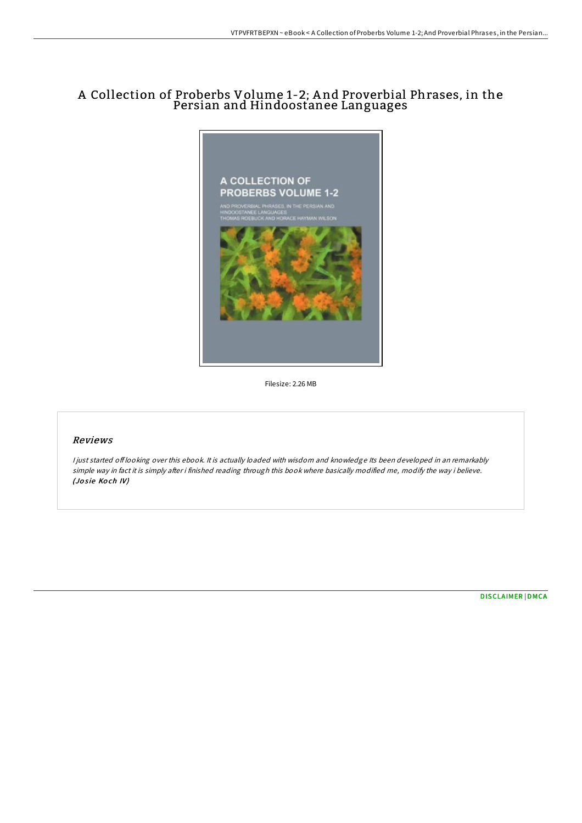## A Collection of Proberbs Volume 1-2; A nd Proverbial Phrases, in the Persian and Hindoostanee Languages



Filesize: 2.26 MB

### Reviews

<sup>I</sup> just started of looking over this ebook. It is actually loaded with wisdom and knowledge Its been developed in an remarkably simple way in fact it is simply after i finished reading through this book where basically modified me, modify the way i believe. (Josie Koch IV)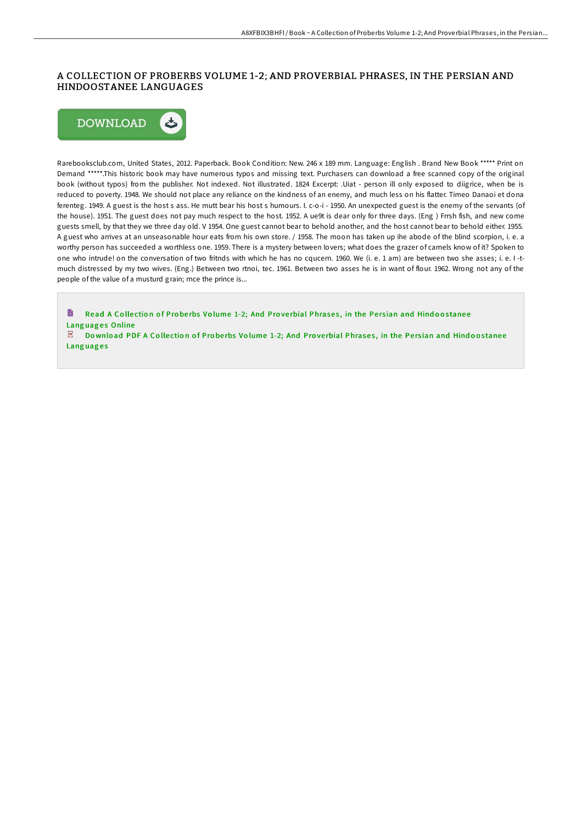#### A COLLECTION OF PROBERBS VOLUME 1-2; AND PROVERBIAL PHRASES, IN THE PERSIAN AND HINDOOSTANEE LANGUAGES



**Languages** 

Rarebooksclub.com, United States, 2012. Paperback. Book Condition: New. 246 x 189 mm. Language: English . Brand New Book \*\*\*\*\* Print on Demand \*\*\*\*\*.This historic book may have numerous typos and missing text. Purchasers can download a free scanned copy of the original book (without typos) from the publisher. Not indexed. Not illustrated. 1824 Excerpt: .Uiat - person ill only exposed to diigrice, when be is reduced to poverty. 1948. We should not place any reliance on the kindness of an enemy, and much less on his flatter. Timeo Danaoi et dona ferenteg. 1949. A guest is the host s ass. He mutt bear his host s humours. I. c-o-i - 1950. An unexpected guest is the enemy of the servants (of the house). 1951. The guest does not pay much respect to the host. 1952. A ue9t is dear only for three days. (Eng ) Frrsh fish, and new come guests smell, by that they we three day old. V 1954. One guest cannot bear to behold another, and the host cannot bear to behold either. 1955. A guest who arrives at an unseasonable hour eats from his own store. / 1958. The moon has taken up ihe abode of the blind scorpion, i. e. a worthy person has succeeded a worthless one. 1959. There is a mystery between lovers; what does the grazer of camels know of it? Spoken to one who intrude! on the conversation of two fritnds with which he has no cqucern. 1960. We (i. e. 1 am) are between two she asses; i. e. I -tmuch distressed by my two wives. (Eng.) Between two rtnoi, tec. 1961. Between two asses he is in want of flour. 1962. Wrong not any of the people of the value of a musturd grain; rnce the prince is...

h Read A Collection of Proberbs Volume 1-2; And Proverbial [Phrase](http://almighty24.tech/a-collection-of-proberbs-volume-1-2-and-proverbi.html)s, in the Persian and Hindoostanee Languages Online  $\overline{\text{pos}}$ Download PDF A Collection of Proberbs Volume 1-2; And Proverbial [Phrase](http://almighty24.tech/a-collection-of-proberbs-volume-1-2-and-proverbi.html)s, in the Persian and Hindoostanee